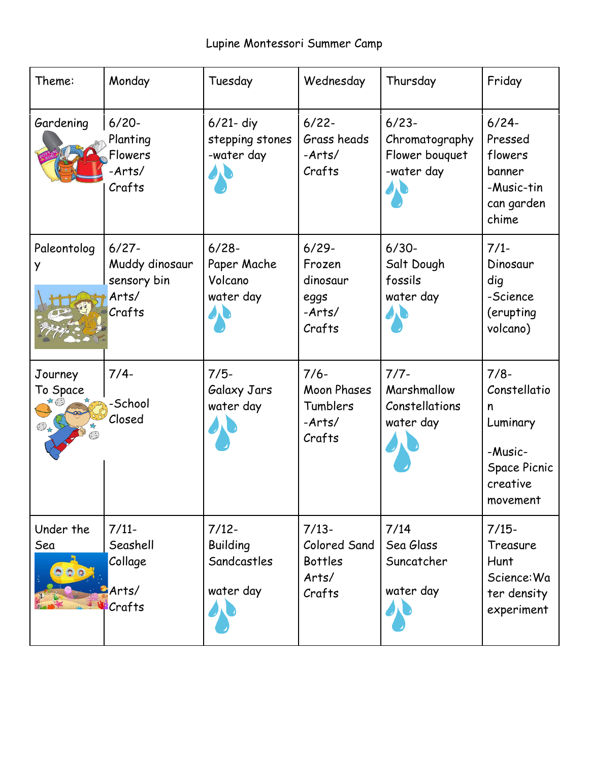## Lupine Montessori Summer Camp

| Theme:                                          | Monday                                                       | Tuesday                                                | Wednesday                                                      | Thursday                                                   | Friday                                                                                            |
|-------------------------------------------------|--------------------------------------------------------------|--------------------------------------------------------|----------------------------------------------------------------|------------------------------------------------------------|---------------------------------------------------------------------------------------------------|
| Gardening                                       | $6/20 -$<br>Planting<br>Flowers<br>-Arts/<br>Crafts          | $6/21$ - diy<br>stepping stones<br>-water day          | $6/22 -$<br>Grass heads<br>$-Arts/$<br>Crafts                  | $6/23 -$<br>Chromatography<br>Flower bouquet<br>-water day | $6/24-$<br>Pressed<br>flowers<br>banner<br>-Music-tin<br>can garden<br>chime                      |
| Paleontolog<br>y                                | $6/27 -$<br>Muddy dinosaur<br>sensory bin<br>Arts/<br>Crafts | $6/28 -$<br>Paper Mache<br>Volcano<br>water day        | $6/29 -$<br>Frozen<br>dinosaur<br>eggs<br>$-Arts/$<br>Crafts   | $6/30-$<br>Salt Dough<br>fossils<br>water day              | $7/1-$<br>Dinosaur<br>dig<br>-Science<br>(erupting<br>volcano)                                    |
| Journey<br>To Space<br>$\bigodot_{\mathcal{A}}$ | $7/4-$<br>-School<br>Closed                                  | $7/5-$<br>Galaxy Jars<br>water day                     | $7/6-$<br><b>Moon Phases</b><br>Tumblers<br>$-Arts/$<br>Crafts | $7/7 -$<br>Marshmallow<br>Constellations<br>water day      | $7/8-$<br>Constellatio<br>n<br>Luminary<br>-Music-<br><b>Space Picnic</b><br>creative<br>movement |
| Under the<br>Sea                                | $7/11-$<br>Seashell<br>Collage<br>Arts/<br>Crafts            | $7/12-$<br><b>Building</b><br>Sandcastles<br>water day | $7/13-$<br>Colored Sand<br><b>Bottles</b><br>Arts/<br>Crafts   | 7/14<br>Sea Glass<br>Suncatcher<br>water day               | $7/15-$<br>Treasure<br>Hunt<br>Science: Wa<br>ter density<br>experiment                           |